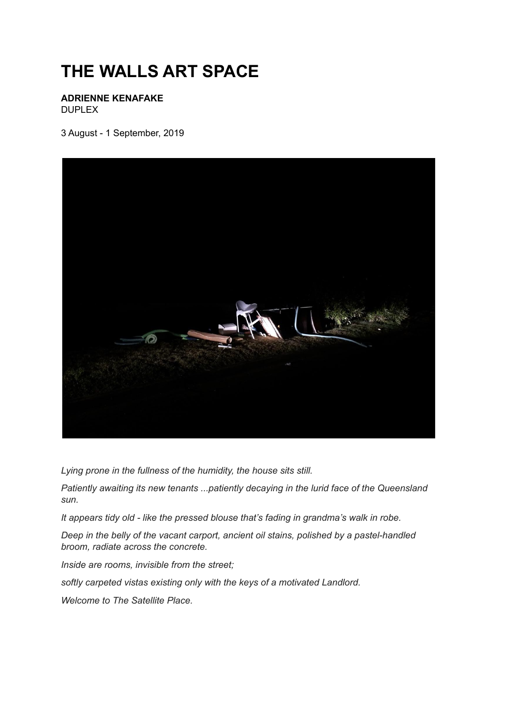## **THE WALLS ART SPACE**

**ADRIENNE KENAFAKE** DUPLEX

3 August - 1 September, 2019



*Lying prone in the fullness of the humidity, the house sits still.*

*Patiently awaiting its new tenants ...patiently decaying in the lurid face of the Queensland sun.*

*It appears tidy old - like the pressed blouse that's fading in grandma's walk in robe.*

*Deep in the belly of the vacant carport, ancient oil stains, polished by a pastel-handled broom, radiate across the concrete.*

*Inside are rooms, invisible from the street;*

*softly carpeted vistas existing only with the keys of a motivated Landlord.*

*Welcome to The Satellite Place.*